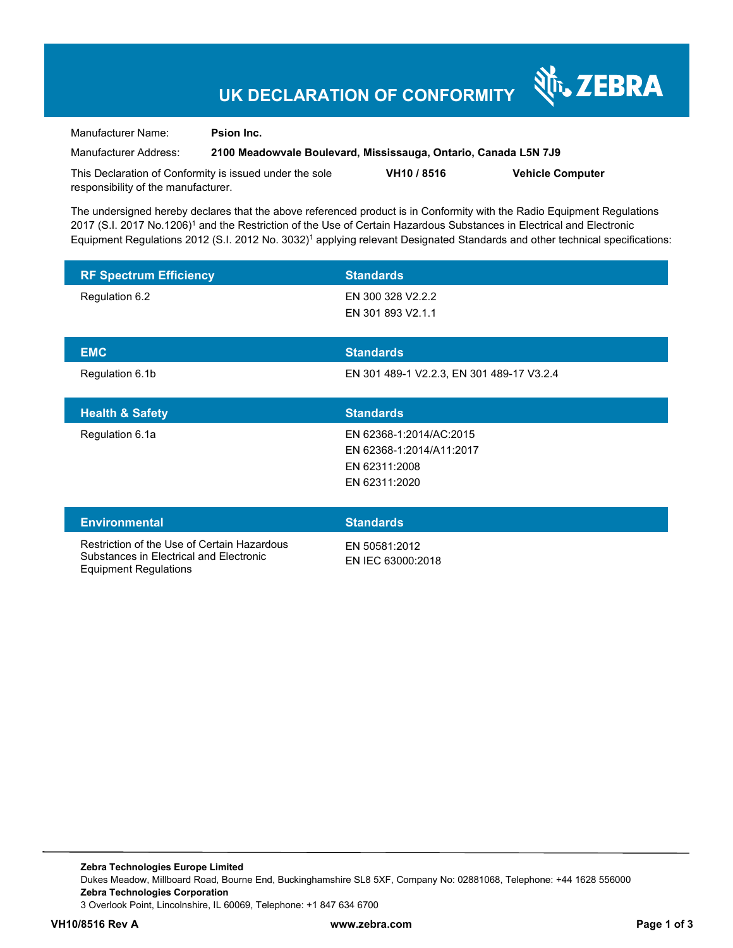# **UK DECLARATION OF CONFORMITY**

Manufacturer Name: **Psion Inc.** 

Equipment Regulations

Manufacturer Address: **2100 Meadowvale Boulevard, Mississauga, Ontario, Canada L5N 7J9** 

र्शे<sub>ि</sub> ZEBRA

This Declaration of Conformity is issued under the sole responsibility of the manufacturer. **VH10 / 8516 Vehicle Computer** 

The undersigned hereby declares that the above referenced product is in Conformity with the Radio Equipment Regulations 2017 (S.I. 2017 No.1206)<sup>1</sup> and the Restriction of the Use of Certain Hazardous Substances in Electrical and Electronic Equipment Regulations 2012 (S.I. 2012 No. 3032)<sup>1</sup> applying relevant Designated Standards and other technical specifications:

| <b>RF Spectrum Efficiency</b>                                                          | <b>Standards</b>                                                                      |
|----------------------------------------------------------------------------------------|---------------------------------------------------------------------------------------|
| Regulation 6.2                                                                         | EN 300 328 V2.2.2<br>EN 301 893 V2.1.1                                                |
| <b>EMC</b>                                                                             | <b>Standards</b>                                                                      |
| Regulation 6.1b                                                                        | EN 301 489-1 V2.2.3, EN 301 489-17 V3.2.4                                             |
| <b>Health &amp; Safety</b>                                                             | <b>Standards</b>                                                                      |
| Regulation 6.1a                                                                        | EN 62368-1:2014/AC:2015<br>EN 62368-1:2014/A11:2017<br>EN 62311:2008<br>EN 62311:2020 |
| <b>Environmental</b>                                                                   | <b>Standards</b>                                                                      |
| Restriction of the Use of Certain Hazardous<br>Substances in Electrical and Electronic | EN 50581:2012<br>EN IEC 63000:2018                                                    |

**Zebra Technologies Europe Limited**  Dukes Meadow, Millboard Road, Bourne End, Buckinghamshire SL8 5XF, Company No: 02881068, Telephone: +44 1628 556000 **Zebra Technologies Corporation**  3 Overlook Point, Lincolnshire, IL 60069, Telephone: +1 847 634 6700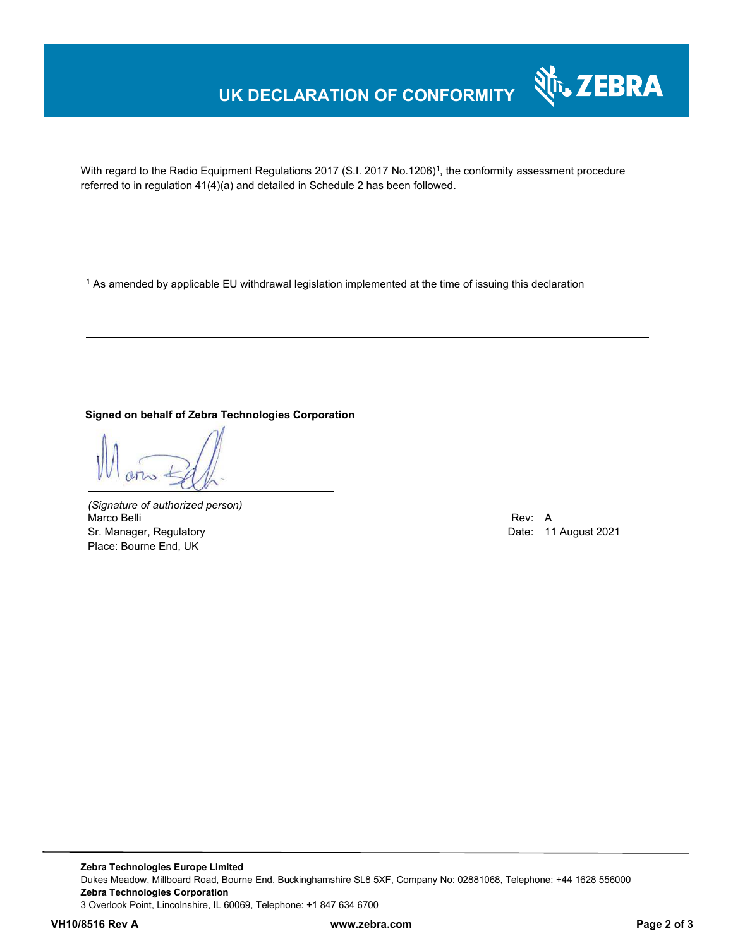## **UK DECLARATION OF CONFORMITY**



With regard to the Radio Equipment Regulations 2017 (S.I. 2017 No.1206)<sup>1</sup>, the conformity assessment procedure referred to in regulation 41(4)(a) and detailed in Schedule 2 has been followed.

1 As amended by applicable EU withdrawal legislation implemented at the time of issuing this declaration

**Signed on behalf of Zebra Technologies Corporation** 

*(Signature of authorized person)* Marco Belli Rev: A Annual Rev: A Annual Rev: A Annual Rev: A Annual Rev: A Annual Rev: A Annual Rev: A Annual Rev Sr. Manager, Regulatory **Date: 11 August 2021** Place: Bourne End, UK